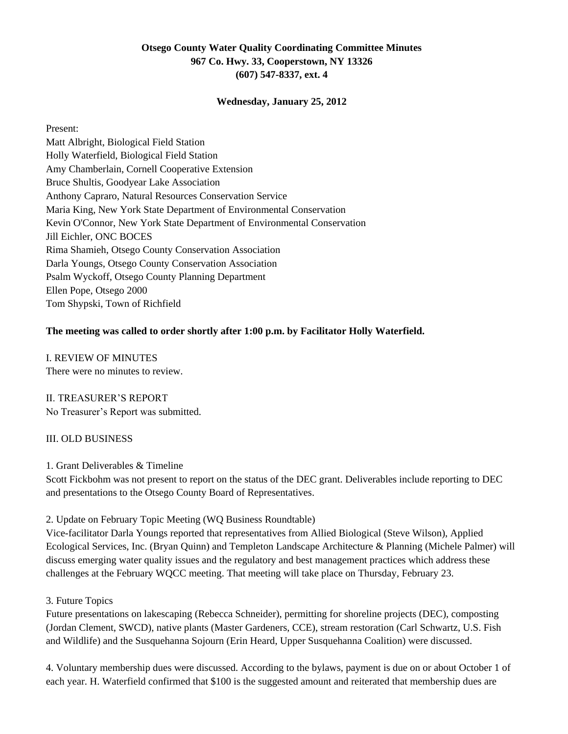## **Otsego County Water Quality Coordinating Committee Minutes 967 Co. Hwy. 33, Cooperstown, NY 13326 (607) 547-8337, ext. 4**

#### **Wednesday, January 25, 2012**

Present: Matt Albright, Biological Field Station Holly Waterfield, Biological Field Station Amy Chamberlain, Cornell Cooperative Extension Bruce Shultis, Goodyear Lake Association Anthony Capraro, Natural Resources Conservation Service Maria King, New York State Department of Environmental Conservation Kevin O'Connor, New York State Department of Environmental Conservation Jill Eichler, ONC BOCES Rima Shamieh, Otsego County Conservation Association Darla Youngs, Otsego County Conservation Association Psalm Wyckoff, Otsego County Planning Department Ellen Pope, Otsego 2000 Tom Shypski, Town of Richfield

### **The meeting was called to order shortly after 1:00 p.m. by Facilitator Holly Waterfield.**

I. REVIEW OF MINUTES There were no minutes to review.

## II. TREASURER"S REPORT

No Treasurer"s Report was submitted.

## III. OLD BUSINESS

#### 1. Grant Deliverables & Timeline

Scott Fickbohm was not present to report on the status of the DEC grant. Deliverables include reporting to DEC and presentations to the Otsego County Board of Representatives.

#### 2. Update on February Topic Meeting (WQ Business Roundtable)

Vice-facilitator Darla Youngs reported that representatives from Allied Biological (Steve Wilson), Applied Ecological Services, Inc. (Bryan Quinn) and Templeton Landscape Architecture & Planning (Michele Palmer) will discuss emerging water quality issues and the regulatory and best management practices which address these challenges at the February WQCC meeting. That meeting will take place on Thursday, February 23.

#### 3. Future Topics

Future presentations on lakescaping (Rebecca Schneider), permitting for shoreline projects (DEC), composting (Jordan Clement, SWCD), native plants (Master Gardeners, CCE), stream restoration (Carl Schwartz, U.S. Fish and Wildlife) and the Susquehanna Sojourn (Erin Heard, Upper Susquehanna Coalition) were discussed.

4. Voluntary membership dues were discussed. According to the bylaws, payment is due on or about October 1 of each year. H. Waterfield confirmed that \$100 is the suggested amount and reiterated that membership dues are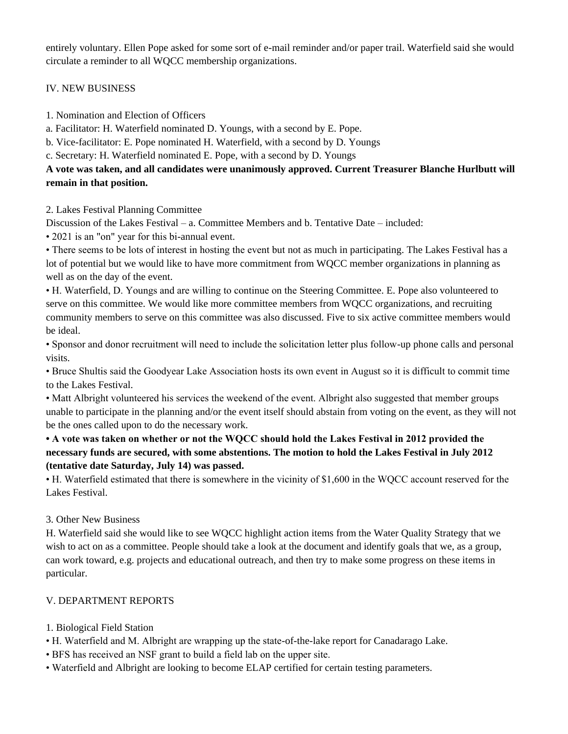entirely voluntary. Ellen Pope asked for some sort of e-mail reminder and/or paper trail. Waterfield said she would circulate a reminder to all WQCC membership organizations.

IV. NEW BUSINESS

1. Nomination and Election of Officers

a. Facilitator: H. Waterfield nominated D. Youngs, with a second by E. Pope.

b. Vice-facilitator: E. Pope nominated H. Waterfield, with a second by D. Youngs

c. Secretary: H. Waterfield nominated E. Pope, with a second by D. Youngs

# **A vote was taken, and all candidates were unanimously approved. Current Treasurer Blanche Hurlbutt will remain in that position.**

2. Lakes Festival Planning Committee

Discussion of the Lakes Festival – a. Committee Members and b. Tentative Date – included:

• 2021 is an "on" year for this bi-annual event.

• There seems to be lots of interest in hosting the event but not as much in participating. The Lakes Festival has a lot of potential but we would like to have more commitment from WQCC member organizations in planning as well as on the day of the event.

• H. Waterfield, D. Youngs and are willing to continue on the Steering Committee. E. Pope also volunteered to serve on this committee. We would like more committee members from WQCC organizations, and recruiting community members to serve on this committee was also discussed. Five to six active committee members would be ideal.

• Sponsor and donor recruitment will need to include the solicitation letter plus follow-up phone calls and personal visits.

• Bruce Shultis said the Goodyear Lake Association hosts its own event in August so it is difficult to commit time to the Lakes Festival.

• Matt Albright volunteered his services the weekend of the event. Albright also suggested that member groups unable to participate in the planning and/or the event itself should abstain from voting on the event, as they will not be the ones called upon to do the necessary work.

# **• A vote was taken on whether or not the WQCC should hold the Lakes Festival in 2012 provided the necessary funds are secured, with some abstentions. The motion to hold the Lakes Festival in July 2012 (tentative date Saturday, July 14) was passed.**

• H. Waterfield estimated that there is somewhere in the vicinity of \$1,600 in the WQCC account reserved for the Lakes Festival.

3. Other New Business

H. Waterfield said she would like to see WQCC highlight action items from the Water Quality Strategy that we wish to act on as a committee. People should take a look at the document and identify goals that we, as a group, can work toward, e.g. projects and educational outreach, and then try to make some progress on these items in particular.

# V. DEPARTMENT REPORTS

1. Biological Field Station

- H. Waterfield and M. Albright are wrapping up the state-of-the-lake report for Canadarago Lake.
- BFS has received an NSF grant to build a field lab on the upper site.
- Waterfield and Albright are looking to become ELAP certified for certain testing parameters.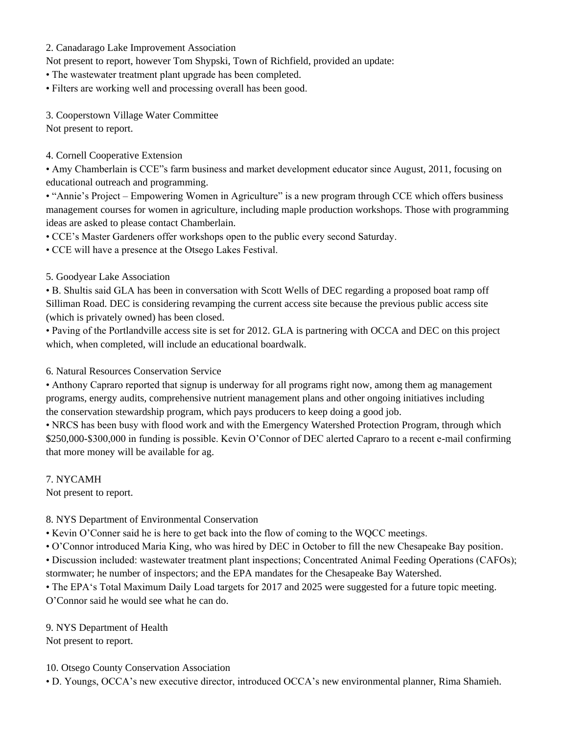2. Canadarago Lake Improvement Association

Not present to report, however Tom Shypski, Town of Richfield, provided an update:

• The wastewater treatment plant upgrade has been completed.

• Filters are working well and processing overall has been good.

3. Cooperstown Village Water Committee

Not present to report.

## 4. Cornell Cooperative Extension

• Amy Chamberlain is CCE"s farm business and market development educator since August, 2011, focusing on educational outreach and programming.

• "Annie's Project – Empowering Women in Agriculture" is a new program through CCE which offers business management courses for women in agriculture, including maple production workshops. Those with programming ideas are asked to please contact Chamberlain.

• CCE"s Master Gardeners offer workshops open to the public every second Saturday.

• CCE will have a presence at the Otsego Lakes Festival.

### 5. Goodyear Lake Association

• B. Shultis said GLA has been in conversation with Scott Wells of DEC regarding a proposed boat ramp off Silliman Road. DEC is considering revamping the current access site because the previous public access site (which is privately owned) has been closed.

• Paving of the Portlandville access site is set for 2012. GLA is partnering with OCCA and DEC on this project which, when completed, will include an educational boardwalk.

6. Natural Resources Conservation Service

• Anthony Capraro reported that signup is underway for all programs right now, among them ag management programs, energy audits, comprehensive nutrient management plans and other ongoing initiatives including the conservation stewardship program, which pays producers to keep doing a good job.

• NRCS has been busy with flood work and with the Emergency Watershed Protection Program, through which \$250,000-\$300,000 in funding is possible. Kevin O"Connor of DEC alerted Capraro to a recent e-mail confirming that more money will be available for ag.

7. NYCAMH

Not present to report.

## 8. NYS Department of Environmental Conservation

• Kevin O"Conner said he is here to get back into the flow of coming to the WQCC meetings.

• O"Connor introduced Maria King, who was hired by DEC in October to fill the new Chesapeake Bay position.

• Discussion included: wastewater treatment plant inspections; Concentrated Animal Feeding Operations (CAFOs);

stormwater; he number of inspectors; and the EPA mandates for the Chesapeake Bay Watershed.

• The EPA's Total Maximum Daily Load targets for 2017 and 2025 were suggested for a future topic meeting. O"Connor said he would see what he can do.

9. NYS Department of Health Not present to report.

10. Otsego County Conservation Association

• D. Youngs, OCCA"s new executive director, introduced OCCA"s new environmental planner, Rima Shamieh.